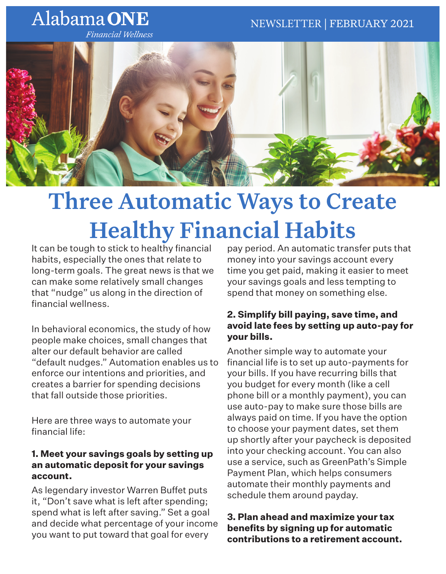# Alabama ONE

**Financial Wellness** 



# Three Automatic Ways to Create Healthy Financial Habits

It can be tough to stick to healthy financial habits, especially the ones that relate to long-term goals. The great news is that we can make some relatively small changes that "nudge" us along in the direction of financial wellness.

In behavioral economics, the study of how people make choices, small changes that alter our default behavior are called "default nudges." Automation enables us to enforce our intentions and priorities, and creates a barrier for spending decisions that fall outside those priorities.

Here are three ways to automate your financial life:

## **1. Meet your savings goals by setting up an automatic deposit for your savings account.**

As legendary investor Warren Buffet puts it, "Don't save what is left after spending; spend what is left after saving." Set a goal and decide what percentage of your income you want to put toward that goal for every

pay period. An automatic transfer puts that money into your savings account every time you get paid, making it easier to meet your savings goals and less tempting to spend that money on something else.

### **2. Simplify bill paying, save time, and avoid late fees by setting up auto-pay for your bills.**

Another simple way to automate your financial life is to set up auto-payments for your bills. If you have recurring bills that you budget for every month (like a cell phone bill or a monthly payment), you can use auto-pay to make sure those bills are always paid on time. If you have the option to choose your payment dates, set them up shortly after your paycheck is deposited into your checking account. You can also use a service, such as GreenPath's Simple Payment Plan, which helps consumers automate their monthly payments and schedule them around payday.

### **3. Plan ahead and maximize your tax benefits by signing up for automatic contributions to a retirement account.**